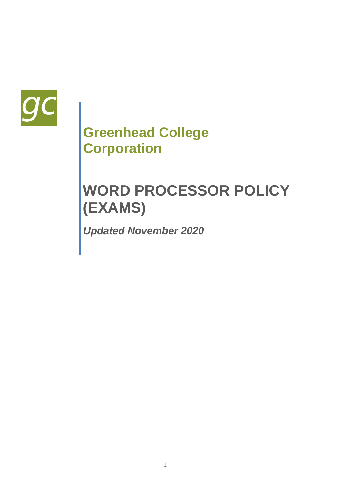<span id="page-0-0"></span>

## **Greenhead College Corporation**

# **WORD PROCESSOR POLICY (EXAMS)**

*Updated November 2020*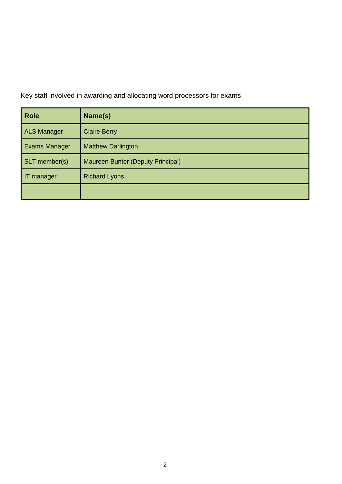Key staff involved in awarding and allocating word processors for exams

| <b>Role</b>          | Name(s)                           |
|----------------------|-----------------------------------|
| <b>ALS Manager</b>   | <b>Claire Berry</b>               |
| <b>Exams Manager</b> | <b>Matthew Darlington</b>         |
| SLT member(s)        | Maureen Bunter (Deputy Principal) |
| IT manager           | <b>Richard Lyons</b>              |
|                      |                                   |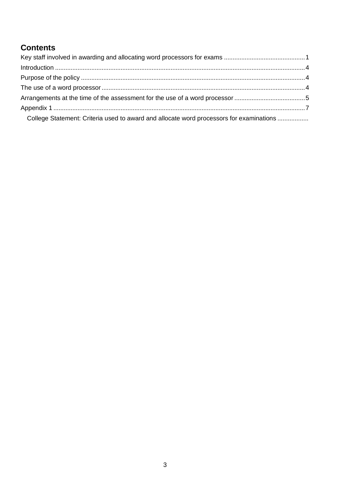### **Contents**

| College Statement: Criteria used to award and allocate word processors for examinations |  |
|-----------------------------------------------------------------------------------------|--|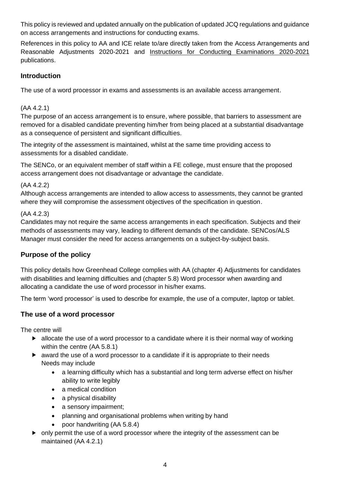This policy is reviewed and updated annually on the publication of updated JCQ regulations and guidance on access arrangements and instructions for conducting exams.

References in this policy to AA and ICE relate to/are directly taken from the Access Arrangements and Reasonable Adjustments 2020-2021 and Instructions for Conducting Examinations 2020-2021 publications.

#### <span id="page-3-0"></span>**Introduction**

The use of a word processor in exams and assessments is an available access arrangement.

#### (AA 4.2.1)

The purpose of an access arrangement is to ensure, where possible, that barriers to assessment are removed for a disabled candidate preventing him/her from being placed at a substantial disadvantage as a consequence of persistent and significant difficulties.

The integrity of the assessment is maintained, whilst at the same time providing access to assessments for a disabled candidate.

The SENCo, or an equivalent member of staff within a FE college, must ensure that the proposed access arrangement does not disadvantage or advantage the candidate.

#### (AA 4.2.2)

Although access arrangements are intended to allow access to assessments, they cannot be granted where they will compromise the assessment objectives of the specification in question.

#### (AA 4.2.3)

Candidates may not require the same access arrangements in each specification. Subjects and their methods of assessments may vary, leading to different demands of the candidate. SENCos/ALS Manager must consider the need for access arrangements on a subject-by-subject basis.

#### <span id="page-3-1"></span>**Purpose of the policy**

This policy details how Greenhead College complies with AA (chapter 4) Adjustments for candidates with disabilities and learning difficulties and (chapter 5.8) Word processor when awarding and allocating a candidate the use of word processor in his/her exams.

The term 'word processor' is used to describe for example, the use of a computer, laptop or tablet.

#### <span id="page-3-2"></span>**The use of a word processor**

The centre will

- $\blacktriangleright$  allocate the use of a word processor to a candidate where it is their normal way of working within the centre (AA 5.8.1)
- award the use of a word processor to a candidate if it is appropriate to their needs Needs may include
	- a learning difficulty which has a substantial and long term adverse effect on his/her ability to write legibly
	- a medical condition
	- a physical disability
	- a sensory impairment;
	- planning and organisational problems when writing by hand
	- poor handwriting (AA 5.8.4)
- only permit the use of a word processor where the integrity of the assessment can be maintained (AA 4.2.1)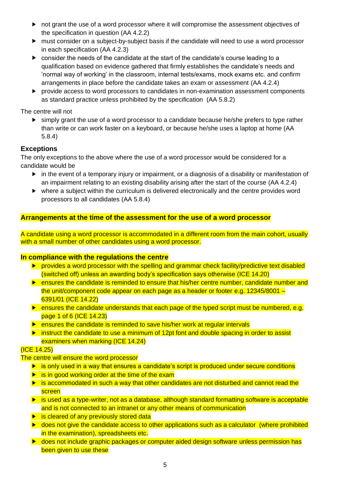- not grant the use of a word processor where it will compromise the assessment objectives of the specification in question (AA 4.2.2)
- must consider on a subject-by-subject basis if the candidate will need to use a word processor in each specification (AA 4.2.3)
- consider the needs of the candidate at the start of the candidate's course leading to a qualification based on evidence gathered that firmly establishes the candidate's needs and 'normal way of working' in the classroom, internal tests/exams, mock exams etc. and confirm arrangements in place before the candidate takes an exam or assessment (AA 4.2.4)
- provide access to word processors to candidates in non-examination assessment components as standard practice unless prohibited by the specification (AA 5.8.2)

The centre will not

simply grant the use of a word processor to a candidate because he/she prefers to type rather than write or can work faster on a keyboard, or because he/she uses a laptop at home (AA 5.8.4)

#### **Exceptions**

The only exceptions to the above where the use of a word processor would be considered for a candidate would be

- in the event of a temporary injury or impairment, or a diagnosis of a disability or manifestation of an impairment relating to an existing disability arising after the start of the course (AA 4.2.4)
- where a subject within the curriculum is delivered electronically and the centre provides word processors to all candidates (AA 5.8.4)

#### <span id="page-4-0"></span>**Arrangements at the time of the assessment for the use of a word processor**

A candidate using a word processor is accommodated in a different room from the main cohort, usually with a small number of other candidates using a word processor.

#### **In compliance with the regulations the centre**

- **P** provides a word processor with the spelling and grammar check facility/predictive text disabled (switched off) unless an awarding body's specification says otherwise (ICE 14.20)
- **EX** ensures the candidate is reminded to ensure that his/her centre number, candidate number and the unit/component code appear on each page as a header or footer e.g. 12345/8001 – 6391/01 (ICE 14.22)
- $\blacktriangleright$  ensures the candidate understands that each page of the typed script must be numbered, e.g. page 1 of 6 (ICE 14.23)
- **EX EX ATTE:** ensures the candidate is reminded to save his/her work at regular intervals
- **If** instruct the candidate to use a minimum of 12pt font and double spacing in order to assist examiners when marking (ICE 14.24)

#### (ICE 14.25)

#### The centre will ensure the word processor

- is only used in a way that ensures a candidate's script is produced under secure conditions
- $\blacktriangleright$  is in good working order at the time of the exam
- **is accommodated in such a way that other candidates are not disturbed and cannot read the** screen
- $\blacktriangleright$  is used as a type-writer, not as a database, although standard formatting software is acceptable and is not connected to an intranet or any other means of communication
- **E** is cleared of any previously stored data
- ▶ does not give the candidate access to other applications such as a calculator (where prohibited in the examination), spreadsheets etc.
- ▶ does not include graphic packages or computer aided design software unless permission has been given to use these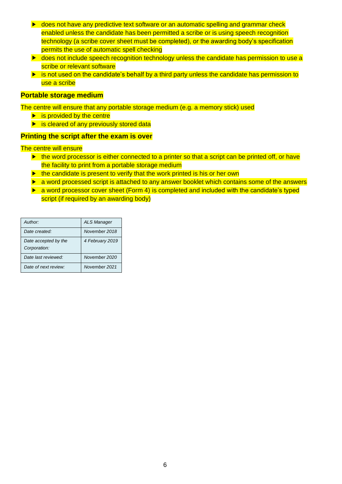- ▶ does not have any predictive text software or an automatic spelling and grammar check enabled unless the candidate has been permitted a scribe or is using speech recognition technology (a scribe cover sheet must be completed), or the awarding body's specification permits the use of automatic spell checking
- ▶ does not include speech recognition technology unless the candidate has permission to use a scribe or relevant software
- $\blacktriangleright$  is not used on the candidate's behalf by a third party unless the candidate has permission to use a scribe

#### **Portable storage medium**

The centre will ensure that any portable storage medium (e.g. a memory stick) used

- $\blacktriangleright$  is provided by the centre
- **is cleared of any previously stored data**

#### **Printing the script after the exam is over**

The centre will ensure

- the word processor is either connected to a printer so that a script can be printed off, or have the facility to print from a portable storage medium
- $\blacktriangleright$  the candidate is present to verify that the work printed is his or her own
- **a** word processed script is attached to any answer booklet which contains some of the answers
- ▶ a word processor cover sheet (Form 4) is completed and included with the candidate's typed script (if required by an awarding body)

| Author:                              | <b>ALS Manager</b> |
|--------------------------------------|--------------------|
| Date created:                        | November 2018      |
| Date accepted by the<br>Corporation: | 4 February 2019    |
| Date last reviewed:                  | November 2020      |
| Date of next review:                 | November 2021      |